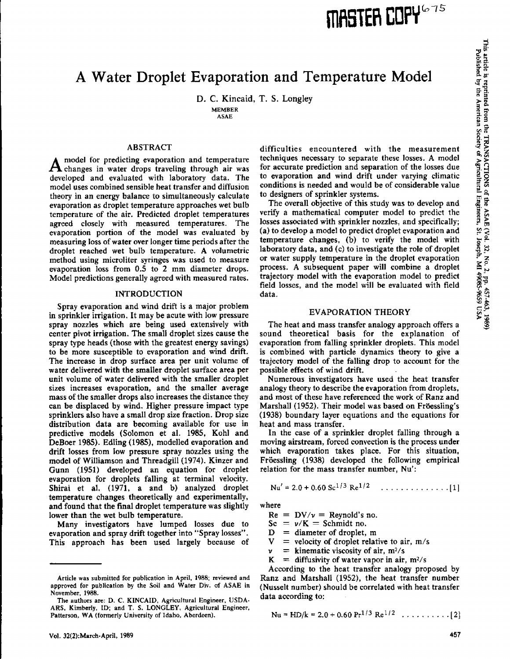# A Water Droplet Evaporation and Temperature Model

D. C. Kincaid, T. S. Longley MEMBER

ASAE

# ABSTRACT

model for predicting evaporation and temperature  $A$  changes in water drops traveling through air was developed and evaluated with laboratory data. The model uses combined sensible heat transfer and diffusion theory in an energy balance to simultaneously calculate evaporation as droplet temperature approaches wet bulb temperature of the air. Predicted droplet temperatures agreed closely with measured temperatures. The evaporation portion of the model was evaluated by measuring loss of water over longer time periods after the droplet reached wet bulb temperature. A volumetric method using microliter syringes was used to measure evaporation loss from 0.5 to 2 mm diameter drops. Model predictions generally agreed with measured rates.

# INTRODUCTION

Spray evaporation and wind drift is a major problem in sprinkler irrigation. It may be acute with low pressure spray nozzles which are being used extensively with center pivot irrigation. The small droplet sizes cause the spray type heads (those with the greatest energy savings) to be more susceptible to evaporation and wind drift. The increase in drop surface area per unit volume of water delivered with the smaller droplet surface area per unit volume of water delivered with the smaller droplet sizes increases evaporation, and the smaller average mass of the smaller drops also increases the distance they can be displaced by wind. Higher pressure impact type sprinklers also have a small drop size fraction. Drop size distribution data are becoming available for use in predictive models (Solomon et al. 1985, Kohl and DeBoer 1985). Edling (1985), modelled evaporation and drift losses from low pressure spray nozzles using the model of Williamson and Threadgill (1974). Kinzer and Gunn (1951) developed an equation for droplet evaporation for droplets falling at terminal velocity. Shirai et al. (1971, a and b) analyzed droplet temperature changes theoretically and experimentally, and found that the final droplet temperature was slightly lower than the **wet bulb temperature.**

**Many investigators have lumped losses due to** evaporation and spray drift together into "Spray losses". This approach has been used largely because of

difficulties encountered with the measurement techniques necessary to separate these losses. A model for accurate prediction and separation of the losses due to evaporation and wind drift under varying climatic conditions is needed and would be of considerable value to designers of sprinkler systems.

The overall objective of this study was to develop and verify a mathematical computer model to predict the losses associated with sprinkler nozzles, and specifically; (a) to develop a model to predict droplet evaporation and temperature changes, (b) to verify the model with laboratory data, and (c) to investigate the role of droplet or water supply temperature in the droplet evaporation process. A subsequent paper will combine a droplet trajectory model with the evaporation model to predict field losses, and the model will be evaluated with field data.

# EVAPORATION THEORY

The heat and mass transfer analogy approach offers a sound theoretical basis for the explanation of evaporation from falling sprinkler droplets. This model is combined with particle dynamics theory to give a trajectory model of the falling drop to account for the possible effects of wind drift.

Numerous investigators have used the heat transfer analogy theory to describe the evaporation from droplets, and most of these have referenced the work of Ranz and Marshall (1952). Their model was based on FrdessIing's (1938) boundary layer equations and the equations for heat and mass transfer.

In the case of a sprinkler droplet falling through a moving airstream, forced convection is the process under which evaporation takes place. For this situation, Fröessling (1938) developed the following empirical relation for the mass transfer number, Nu':

$$
Nu' = 2.0 + 0.60 Sc^{1/3} Re^{1/2} \quad \dots \dots \dots \dots \dots \dots [1]
$$

where

 $Re = DV/v = Revnold's no.$ 

 $Sc = v/K = Schmidt no$ .

 $D =$  diameter of droplet, m<br> $V =$  velocity of droplet relat

 $=$  velocity of droplet relative to air,  $m/s$ 

 $v =$  kinematic viscosity of air, m<sup>2</sup>/s<br>K = diffusivity of water vapor in air.

 $=$  diffusivity of water vapor in air, m<sup>2</sup>/s

According to the heat transfer analogy proposed by Ranz and Marshall (1952), the heat transfer number (Nusselt number) should be correlated with heat transfer data according to:

$$
Nu = HD/k = 2.0 + 0.60 \text{ Pr}^{1/3} \text{ Re}^{1/2} \dots \dots \dots \dots [2]
$$

∎-∎

 $\sigma$  .

Article was submitted for publication in April, 1988; reviewed and approved for publication by the Soil and Water Div. of ASAE in November, 1988.

The authors are: D. C. KINCAID, Agricultural Engineer, USDA-ARS, Kimberly, ID; and T. S. LONGLEY, Agricultural Engineer, Patterson, WA (formerly University of Idaho, Aberdeen).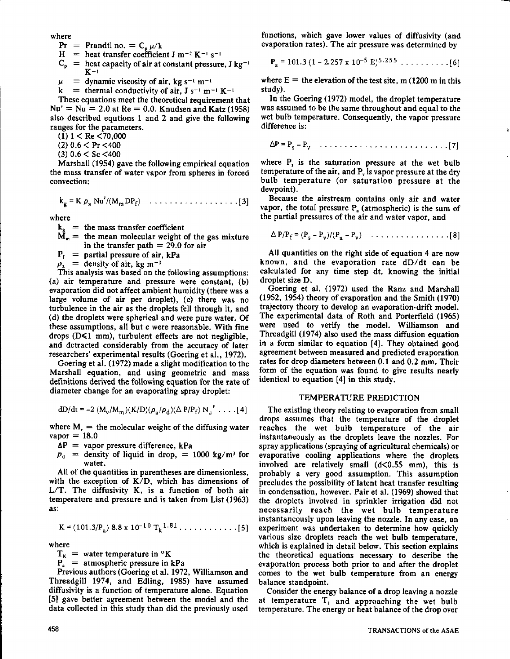where

- $Pr = Prandtl$  no.  $= C_p \mu/k$
- $H =$  heat transfer coefficient J m<sup>-2</sup> K<sup>-1</sup> s<sup>-1</sup>
- $C_p$  = heat capacity of air at constant pressure, J kg<sup>-1</sup>  $K-1$
- $\mu$  $=$  dynamic viscosity of air, kg s<sup>-1</sup> m<sup>-1</sup>
- $k =$  thermal conductivity of air,  $J s^{-1} m^{-1} K^{-1}$

These equations meet the theoretical requirement that  $Nu' = Nu = 2.0$  at  $Re = 0.0$ . Knudsen and Katz (1958) also described equtions 1 and 2 and give the following ranges for the parameters.

 $(1)$  1 < Re <70,000

(2) 0.6 < Pr <400

(3) 0.6 < Sc <400

Marshall (1954) gave the following empirical equation the mass transfer of water vapor from spheres in forced convection:

$$
k_g = K \rho_a Nu'/(M_mDP_f)
$$
 ... ... ... ... [3]

where

- $k_g$  = the mass transfer coefficient
- $\dot{M}_m$  = the mean molecular weight of the gas mixture in the transfer path  $= 29.0$  for air
- $P_f$  = partial pressure of air, kPa

 $\rho_{\rm a}$  = density of air, kg m<sup>-3</sup>

This analysis was based on the following assumptions: (a) air temperature and pressure were constant, (b) evaporation did not affect ambient humidity (there was a large volume of air per droplet), (c) there was no turbulence in the air as the droplets fell through it, and (d) the droplets were spherical and were pure water. Of these assumptions, all but c were reasonable. With fine drops  $(D \le 1$  mm), turbulent effects are not negligible. and detracted considerably from the accuracy of later researchers' experimental results (Goering et al., 1972).

Goering et al. (1972) made a slight modification to the Marshall equation, and using geometric and mass definitions derived the following equation for the rate of diameter change for an evaporating spray droplet:

$$
dD/dt = -2 (M_v/M_m)(K/D)(\rho_a/\rho_d)(\Delta P/P_f) N_u' \dots [4]
$$

where  $M<sub>v</sub>$  = the molecular weight of the diffusing water  $vapor = 18.0$ 

- $\Delta P$  = vapor pressure difference, kPa
- $p_{d}$  = density of liquid in drop, = 1000 kg/m<sup>3</sup> for water.

All of the quantities in parentheses are dimensionless, with the exception of  $K/D$ , which has dimensions of  $L/T$ . The diffusivity K, is a function of both air temperature and pressure and is taken from List (1963) as:

K = (101.3/P.) 8.8 x 10-10 T<sup>k</sup> 1.81 5]

where

 $T_K$  = water temperature in °K

 $P_a$  = atmospheric pressure in kPa

Previous authors (Goering et al. 1972, Williamson and Threadgill 1974, and Edling, 1985) have assumed diffusivity is a function of temperature alone. Equation [5] gave better agreement between the model and the data collected in this study than did the previously used

functions, which gave lower values of diffusivity (and evaporation rates). The air pressure was determined by

Pa = 101.3 (1 - 2.257 x 10- 5 E) 5,255 [6]

where  $E =$  the elevation of the test site, m (1200 m in this study).

In the Goering (1972) model, the droplet temperature was assumed to be the same throughout and equal to the wet bulb temperature. Consequently, the vapor pressure difference is:

LP = Ps - Pv <sup>1</sup> 7]

where  $P_s$  is the saturation pressure at the wet bulb temperature of the air, and  $P<sub>v</sub>$  is vapor pressure at the dry bulb temperature (or saturation pressure at the dewpoint).

Because the airstream contains only air and water vapor, the total pressure  $P_{\rm a}$  (atmospheric) is the sum of the partial pressures of the air and water vapor, and

<sup>q</sup>P/P<sup>f</sup> = Ts — Pv)/(Pa Pv) [8]

All quantities on the right side of equation 4 are now known, and the evaporation rate dD/dt can be calculated for any time step dt, knowing the initial droplet size D.

Goering et al. (1972) used the Ranz and Marshall (1952, 1954) theory of evaporation and the Smith (1970) trajectory theory to develop an evaporation-drift model. The experimental data of Roth and Porterfield (1965) were used to verify the model. Williamson and Threadgill (1974) also used the mass diffusion equation in a form similar to equation [4]. They obtained good agreement between measured and predicted evaporation rates for drop diameters between 0.1 and 0.2 mm. Their form of the equation was found to give results nearly identical to equation [4] in this study.

## TEMPERATURE PREDICTION

The existing theory relating to evaporation from small drops assumes that the temperature of the droplet reaches the wet bulb temperature of the air instantaneously as the droplets leave the nozzles. For spray applications (spraying of agricultural chemicals) or evaporative cooling applications where the droplets involved are relatively small  $(d< 0.55$  mm), this is probably a very good assumption. This assumption precludes the possibility of latent heat transfer resulting in condensation, however. Pair et al. (1969) showed that the droplets involved in sprinkler irrigation did not necessarily reach the wet bulb temperature instantaneously upon leaving the nozzle. In any case, an experiment was undertaken to determine how quickly various size droplets reach the wet bulb temperature, which is explained in detail below. This section explains the theoretical equations necessary to describe the evaporation process both prior to and after the droplet comes to the wet bulb temperature from an energy balance standpoint.

Consider the energy balance of a drop leaving a nozzle at temperature  $T_1$  and approaching the wet bulb temperature. The energy or heat balance of the drop over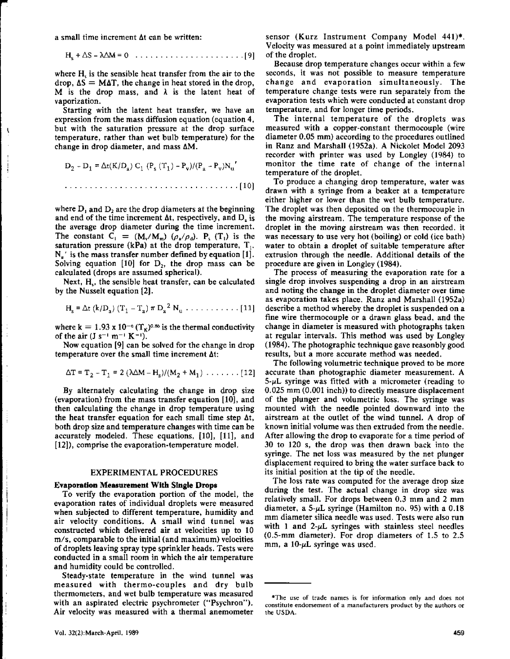a small time increment  $\Delta t$  can be written:

$$
H_s + \Delta S - \lambda \Delta M = 0 \quad \ldots \quad \ldots \quad \ldots \quad \ldots \quad \ldots \quad [9]
$$

where  $H<sub>s</sub>$  is the sensible heat transfer from the air to the  $drop, \Delta S = M\Delta T$ , the change in heat stored in the drop, M is the drop mass, and  $\lambda$  is the latent heat of vaporization.

Starting with the latent heat transfer, we have an expression from the mass diffusion equation (equation 4, but with the saturation pressure at the drop surface temperature, rather than wet bulb temperature) for the change in drop diameter, and mass AM.

$$
D_2 - D_1 = \Delta t(K/D_a) C_1 (P_s (T_1) - P_v) / (P_a - P_v) N_u'
$$
  
... (10)

where  $D_1$  and  $D_2$  are the drop diameters at the beginning and end of the time increment  $\Delta t$ , respectively, and  $D_a$  is the average drop diameter during the time increment. The constant  $C_1 = (M_v/M_m) (\rho_a/\rho_d)$ . P<sub>s</sub> (T<sub>1</sub>) is the saturation pressure (kPa) at the drop temperature,  $T_1$ .  $N_{\rm u}$ ' is the mass transfer number defined by equation [1]. Solving equation [10] for  $D_2$ , the drop mass can be calculated (drops are assumed spherical).

Next, H<sub>y</sub>, the sensible heat transfer, can be calculated by the Nusselt equation [2].

H. = Dt (k/Da } (T1 - T.) n D. 2 Nu [11]

where k = 1.93 x 10<sup>-6</sup> ( $T_{\kappa}$ )<sup>0.86</sup> is the thermal conductivity of the air  $(J s^{-1} m^{-1} K^{-1})$ .

Now equation [9] can be solved for the change in drop temperature over the small time increment At:

$$
\Delta T = T_2 - T_1 = 2 (\lambda \Delta M - H_s)/(M_2 + M_1) \dots \dots \dots [12]
$$

By alternately calculating the change in drop size (evaporation) from the mass transfer equation [10], and then calculating the change in drop temperature using the heat transfer equation for each small time step  $\Delta t$ , both drop size and temperature changes with time can be accurately modeled. These equations, [10], [11], and [12]), comprise the evaporation-temperature model.

# EXPERIMENTAL PROCEDURES

### **Evaporation Measurement With Single Drops**

To verify the evaporation portion of the model, the evaporation rates of individual droplets were measured when subjected to different temperature, humidity and air velocity conditions. A small wind tunnel was constructed which delivered air at velocities up to 10 m/s, comparable to the initial (and maximum) velocities of droplets leaving spray type sprinkler heads. Tests were conducted in a small room in which the air temperature and humidity could be controlled.

Steady-state temperature in the wind tunnel was measured with thermo-couples and dry bulb thermometers, and wet bulb temperature was measured with an aspirated electric psychrometer ("Psychron"). Air velocity was measured with a thermal anemometer

Because drop temperature changes occur within a few seconds, it was not possible to measure temperature change and evaporation simultaneously. The temperature change tests were run separately from the evaporation tests which were conducted at constant drop temperature, and for longer time periods.

The internal temperature of the droplets was measured with a copper-constant thermocouple (wire diameter 0.05 mm) according to the procedures outlined in Ranz and Marshall (1952a). A Nickolet Model 2093 recorder with printer was used by Longley (1984) to monitor the time rate of change of the internal temperature of the droplet.

To produce a changing drop temperature, water was drawn with a syringe from a beaker at a temperature either higher or lower than the wet bulb temperature. The droplet was then deposited on the thermocouple in the moving airstream. The temperature response of the droplet in the moving airstream was then recorded. it was necessary to use very hot (boiling) or cold (ice bath) water to obtain a droplet of suitable temperature after extrusion through the needle. Additional details of the procedure are given in Longley (1984).

The process of measuring the evaporation rate for a single drop involves suspending a drop in an airstream and noting the change in the droplet diameter over time as evaporation takes place. Ranz and Marshall (1952a) describe a method whereby the droplet is suspended on a fine wire thermocouple or a drawn glass bead, and the change in diameter is measured with photographs taken at regular intervals. This method was used by Langley (1984). The photographic technique gave reasonbly good results, but a more accurate method was needed.

The following volumetric technique proved to be more accurate than photographic diameter measurement. A  $5-\mu L$  syringe was fitted with a micrometer (reading to 0.025 mm (0.001 inch)) to directly measure displacement of the plunger and volumetric loss. The syringe was mounted with the needle pointed downward into the airstream at the outlet of the wind tunnel. A drop of known initial volume was then extruded from the needle. After allowing the drop to evaporate for a time period of 30 to 120 s, the drop was then drawn back into the syringe. The net loss was measured by the net plunger displacement required to bring the water surface back to its initial position at the tip of the needle.

The loss rate was computed for the average drop size during the test. The actual change in drop size was relatively small. For drops between 0.3 mm and 2 mm diameter, a  $5-\mu L$  syringe (Hamilton no. 95) with a 0.18 mm diameter silica needle was used. Tests were also run with 1 and  $2-\mu L$  syringes with stainless steel needles (0.5-mm diameter). For drop diameters of 1.5 to 2.5 mm, a  $10-\mu L$  syringe was used.

 $\mathbf{\mathbf{\hat{j}}}$ 

<sup>\*</sup>The use of trade names is for information only and does not constitute endorsement of a manufacturers product by the authors or the USDA.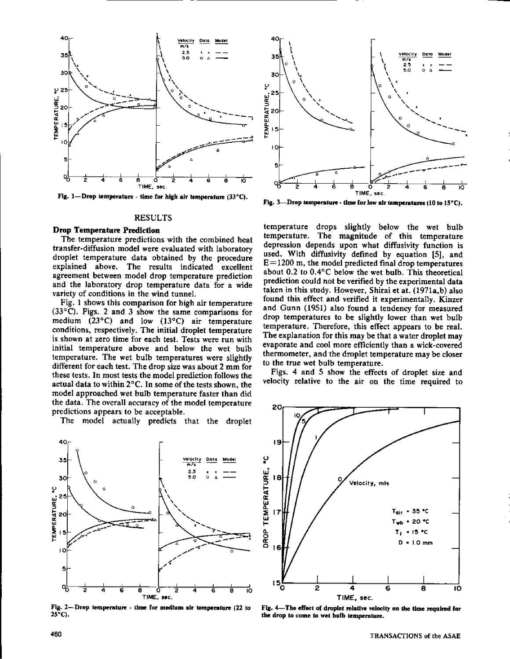

Fig. 1-Drop temperature - time for high air temperature (33°C).

#### RESULTS

#### **Drop Temperature Prediction**

The temperature predictions with the combined heat transfer-diffusion model were evaluated with laboratory droplet temperature data obtained by the procedure explained above. The results indicated excellent agreement between model drop temperature prediction and the laboratory drop temperature data for a wide variety of conditions in the wind tunnel.

Fig. 1 shows this comparison for high air temperature  $(33^{\circ}C)$ . Figs. 2 and 3 show the same comparisons for medium (23°C) and low (13°C) air temperature conditions, respectively. The initial droplet temperature is shown at zero time for each test. Tests were run with initial temperature above and below the wet bulb temperature. The wet bulb temperatures were slightly different for each test. The drop size was about 2 mm for these tests. In most tests the model prediction follows the actual data to within 2°C. In some of the tests shown, the model approached wet bulb temperature faster than did the data. The overall accuracy of the model temperature predictions appears to be acceptable.

The model actually predicts that the droplet



Fig. 2-Drop temperature - time for medium air temperature (22 to **25°C).**



**Fig. 3—Drop temperature - time for low air temperatures 110 to 15°C).**

temperature drops slightly below the wet bulb temperature. The magnitude of this temperature depression depends upon what diffusivity function is used. With diffusivity defined by equation [5], and  $E=1200$  m, the model predicted final drop temperatures about 0.2 to 0.4°C below the wet bulb. This theoretical prediction could not be verified by the experimental data taken in this study. However, Shirai et at. (1971a,b) also found this effect and verified it experimentally. Kinzer and Gunn (1951) also found a tendency for measured drop temperatures to be slightly lower than wet bulb temperature. Therefore, this effect appears to be real. The explanation for this may be that a water droplet may evaporate and cool more efficiently than a wick-covered thermometer, and the **droplet temperature may be closer to the true wet bulb temperature.**

**Figs. 4 and 5 show** the effects of droplet size and velocity relative to the air on the time required to



**Fig. 4—The effect of droplet relative velocity an the time required for the drop to come to wet bulb temperature.**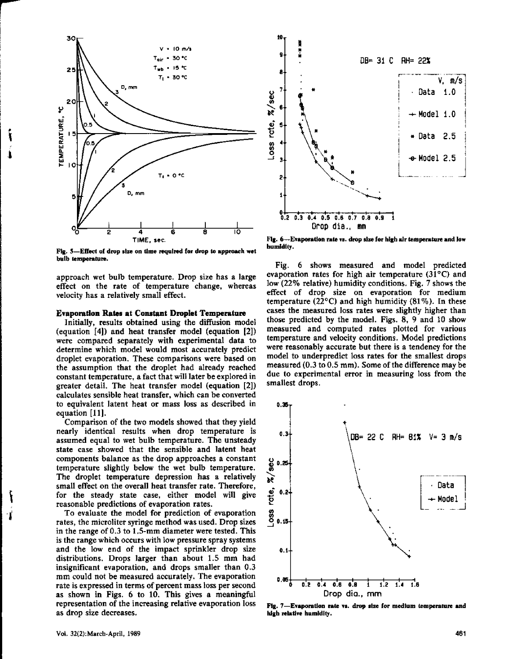

**Fig. 5-Effect of drop size on time required for drop to approach wet bulb temperature.**

approach wet bulb temperature. Drop size has a large effect on the rate of temperature change, whereas velocity has a relatively small effect.

## **Evaporation Rates at Constant Droplet Temperature**

Initially, results obtained using the diffusion model (equation [4]) and heat transfer model (equation [2]) were compared separately with experimental data to determine which model would most accurately predict droplet evaporation. These comparisons were based on the assumption that the droplet had already reached constant temperature, a fact that will later be explored in greater detail. The heat transfer model (equation [2]) calculates sensible heat transfer, which can be converted to equivalent latent heat or mass loss as described in equation [11].

Comparison of the two models showed that they yield nearly identical results when drop temperature is assumed equal to wet bulb temperature. The unsteady state case showed that the sensible and latent heat components balance as the drop approaches a constant temperature slightly below the wet bulb temperature. The droplet temperature depression has a relatively small effect on the overall heat transfer rate. Therefore, for the steady state case, either model will give reasonable predictions of evaporation rates.

To evaluate the model for prediction of evaporation rates, the microliter syringe method was used. Drop sizes in the range of 0.3 to 1.5-mm diameter were tested. This is the range which occurs with low pressure spray systems and the low end of the impact sprinkler drop size distributions. Drops larger than about 1.5 mm had insignificant evaporation, and drops smaller than 0.3 mm could not be measured accurately. The evaporation rate is expressed in terms of percent mass loss per second as shown in Figs. 6 to 10. This gives a meaningful representation of the increasing relative evaporation loss as drop size decreases.



**Fig. 6--Evaporation rate vs. drop size for high air temperature and low humidity.**

Fig. 6 shows measured and model predicted evaporation rates for high air temperature (31°C) and low (22% relative) humidity conditions. Fig. 7 shows the effect of drop size on evaporation for medium temperature (22 $^{\circ}$ C) and high humidity (81%). In these cases the measured loss rates were slightly higher than those predicted by the model. Figs. 8, 9 and 10 show measured and computed rates plotted for various temperature and velocity conditions. Model predictions were reasonably accurate but there is a tendency for the model to underpredict loss rates for the smallest drops measured (0.3 to 0.5 mm). Some of the difference may be due to experimental error in measuring loss from the smallest drops.



**Fig. 7-Evaporation rate vs. drop size for medium temperature and high relative humidity.**

T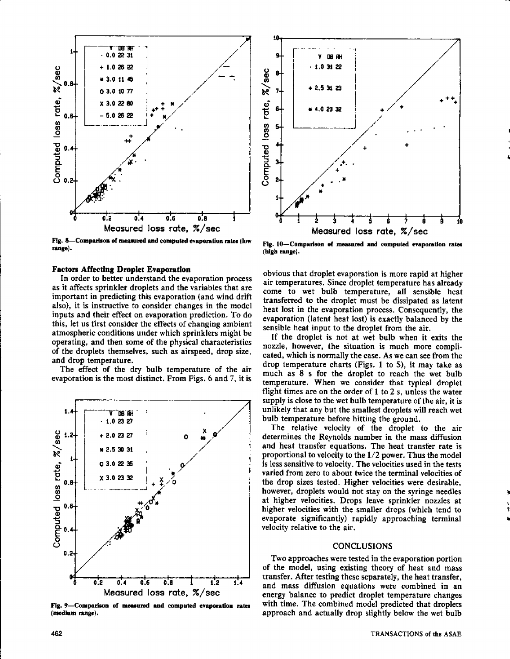

**Fig. 8—Comparison of measured and computed evaporation rates flow range).**

# **Factors Affecting Droplet Evaporation**

In order to better understand the evaporation process as it affects sprinkler droplets and the variables that are important in predicting this evaporation (and wind drift also), it is instructive to consider changes in the model inputs and their effect on evaporation prediction. To do this, let us first consider the effects of changing ambient atmospheric conditions under which sprinklers might be operating, and then some of the physical characteristics of the droplets themselves, such as airspeed, drop size, and drop temperature.

The effect of the dry bulb temperature of the air evaporation is the most distinct. From Figs. 6 and 7, it is



**Fig. 9—Comparison of measured and computed evaporation rates (medium range).**



**Fig. 10—Comparison of measured and computed evaporation rates (high range).**

obvious that droplet evaporation is more rapid at higher air temperatures. Since droplet temperature has already come to wet bulb temperature, all sensible heat transferred to the droplet must be dissipated as latent heat lost in the evaporation process. Consequently, the evaporation (latent heat lost) is exactly balanced by the sensible heat input to the droplet from the air.

If the droplet is not at wet bulb when it exits the nozzle, however, the situation is much more complicated, which is normally the case. As we can see from the drop temperature charts (Figs. 1 to 5), it may take as much as 8 s for the droplet to reach the wet bulb temperature. When we consider that typical droplet flight times are on the order of 1 to 2 s, unless the water supply is close to the wet bulb temperature of the air, it is unlikely that any but the smallest droplets will reach wet bulb temperature before hitting the ground.

The relative velocity of the droplet to the air determines the Reynolds number in the mass diffusion and heat transfer equations. The heat transfer rate is proportional to velocity to the 1/2 power. Thus the model is less sensitive to velocity. The velocities used in the tests varied from zero to about twice the terminal velocities of the drop sizes tested. Higher velocities were desirable, however, droplets would not stay on the syringe needles at higher velocities. Drops leave sprinkler nozzles at higher velocities with the smaller drops (which tend to evaporate significantly) rapidly approaching terminal velocity relative to the air.

# CONCLUSIONS

Two approaches were tested in the evaporation portion of the model, using existing theory of heat and mass transfer. After testing these separately, the heat transfer, and mass diffusion equations were combined in an energy balance to predict droplet temperature changes with time. The combined model predicted that droplets approach and actually drop slightly below the wet bulb